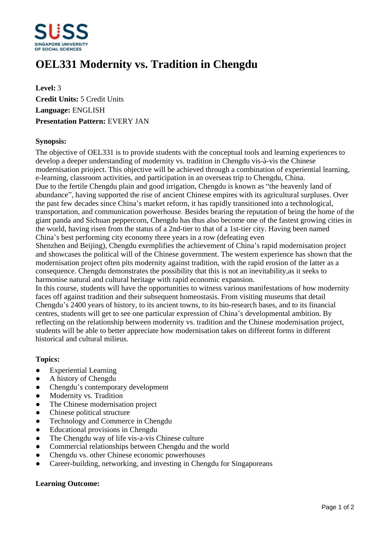

# **OEL331 Modernity vs. Tradition in Chengdu**

**Level:** 3 **Credit Units:** 5 Credit Units **Language:** ENGLISH **Presentation Pattern:** EVERY JAN

### **Synopsis:**

The objective of OEL331 is to provide students with the conceptual tools and learning experiences to develop a deeper understanding of modernity vs. tradition in Chengdu vis-à-vis the Chinese modernisation prioject. This objective will be achieved through a combination of experiential learning, e-learning, classroom activities, and participation in an overseas trip to Chengdu, China. Due to the fertile Chengdu plain and good irrigation, Chengdu is known as "the heavenly land of abundance", having supported the rise of ancient Chinese empires with its agricultural surpluses. Over the past few decades since China's market reform, it has rapidly transitioned into a technological, transportation, and communication powerhouse. Besides bearing the reputation of being the home of the giant panda and Sichuan peppercorn, Chengdu has thus also become one of the fastest growing cities in the world, having risen from the status of a 2nd-tier to that of a 1st-tier city. Having been named China's best performing city economy three years in a row (defeating even

Shenzhen and Beijing), Chengdu exemplifies the achievement of China's rapid modernisation project and showcases the political will of the Chinese government. The western experience has shown that the modernisation project often pits modernity against tradition, with the rapid erosion of the latter as a consequence. Chengdu demonstrates the possibility that this is not an inevitability,as it seeks to harmonise natural and cultural heritage with rapid economic expansion.

In this course, students will have the opportunities to witness various manifestations of how modernity faces off against tradition and their subsequent homeostasis. From visiting museums that detail Chengdu's 2400 years of history, to its ancient towns, to its bio-research bases, and to its financial centres, students will get to see one particular expression of China's developmental ambition. By reflecting on the relationship between modernity vs. tradition and the Chinese modernisation project, students will be able to better appreciate how modernisation takes on different forms in different historical and cultural milieus.

#### **Topics:**

- Experiential Learning
- A history of Chengdu
- Chengdu's contemporary development
- Modernity vs. Tradition
- The Chinese modernisation project
- Chinese political structure
- Technology and Commerce in Chengdu
- Educational provisions in Chengdu
- The Chengdu way of life vis-a-vis Chinese culture
- Commercial relationships between Chengdu and the world
- ƔChengdu vs. other Chinese economic powerhouses
- ƔCareer-building, networking, and investing in Chengdu for Singaporeans

## **Learning Outcome:**